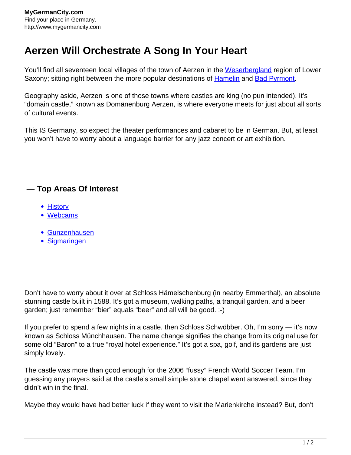## **Aerzen Will Orchestrate A Song In Your Heart**

You'll find all seventeen local villages of the town of Aerzen in the [Weserbergland](http://www.mygermancity.com/weserbergland) region of Lower Saxony; sitting right between the more popular destinations of [Hamelin](http://www.mygermancity.com/hamelin) and [Bad Pyrmont](http://www.mygermancity.com/bad-pyrmont).

Geography aside, Aerzen is one of those towns where castles are king (no pun intended). It's "domain castle," known as Domänenburg Aerzen, is where everyone meets for just about all sorts of cultural events.

This IS Germany, so expect the theater performances and cabaret to be in German. But, at least you won't have to worry about a language barrier for any jazz concert or art exhibition.

## **— Top Areas Of Interest**

- [History](http://www.mygermancity.com/leipzig-history)
- [Webcams](http://www.mygermancity.com/neustadt-holstein-webcams)
- [Gunzenhausen](http://www.mygermancity.com/gunzenhausen)
- [Sigmaringen](http://www.mygermancity.com/sigmaringen)

Don't have to worry about it over at Schloss Hämelschenburg (in nearby Emmerthal), an absolute stunning castle built in 1588. It's got a museum, walking paths, a tranquil garden, and a beer garden; just remember "bier" equals "beer" and all will be good. :-)

If you prefer to spend a few nights in a castle, then Schloss Schwöbber. Oh, I'm sorry — it's now known as Schloss Münchhausen. The name change signifies the change from its original use for some old "Baron" to a true "royal hotel experience." It's got a spa, golf, and its gardens are just simply lovely.

The castle was more than good enough for the 2006 "fussy" French World Soccer Team. I'm guessing any prayers said at the castle's small simple stone chapel went answered, since they didn't win in the final.

Maybe they would have had better luck if they went to visit the Marienkirche instead? But, don't